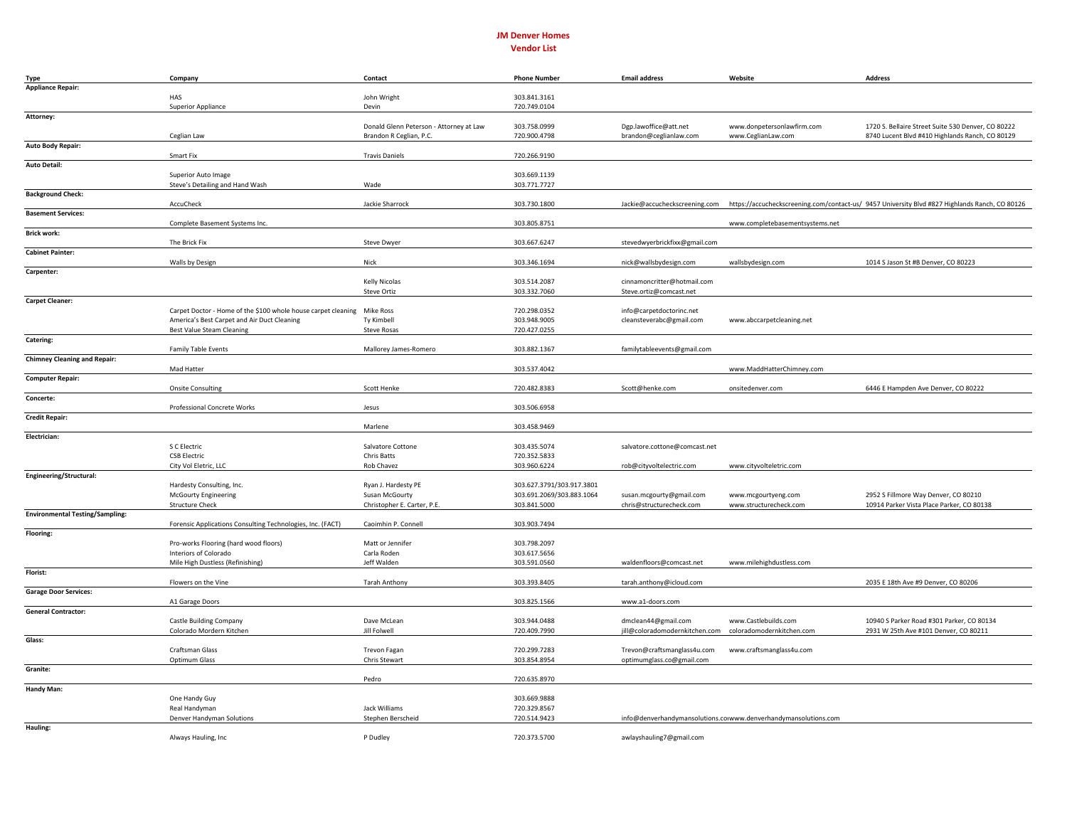## **JM** Denver Homes **Vendor List**

| Type                                   | Company                                                                 | Contact                                 | <b>Phone Number</b>          | <b>Email address</b>           | Website                                                         | <b>Address</b>                                                                                                               |
|----------------------------------------|-------------------------------------------------------------------------|-----------------------------------------|------------------------------|--------------------------------|-----------------------------------------------------------------|------------------------------------------------------------------------------------------------------------------------------|
| <b>Appliance Repair:</b>               |                                                                         |                                         |                              |                                |                                                                 |                                                                                                                              |
|                                        | HAS                                                                     | John Wright                             | 303.841.3161                 |                                |                                                                 |                                                                                                                              |
| Attorney:                              | <b>Superior Appliance</b>                                               | Devin                                   | 720.749.0104                 |                                |                                                                 |                                                                                                                              |
|                                        |                                                                         | Donald Glenn Peterson - Attorney at Law | 303.758.0999                 | Dgp.lawoffice@att.net          | www.donpetersonlawfirm.com                                      | 1720 S. Bellaire Street Suite 530 Denver, CO 80222                                                                           |
|                                        | Ceglian Law                                                             | Brandon R Ceglian, P.C.                 | 720.900.4798                 | brandon@ceglianlaw.com         | www.CeglianLaw.com                                              | 8740 Lucent Blvd #410 Highlands Ranch, CO 80129                                                                              |
| Auto Body Repair:                      |                                                                         |                                         |                              |                                |                                                                 |                                                                                                                              |
|                                        | Smart Fix                                                               | <b>Travis Daniels</b>                   | 720.266.9190                 |                                |                                                                 |                                                                                                                              |
| <b>Auto Detail:</b>                    |                                                                         |                                         | 303.669.1139                 |                                |                                                                 |                                                                                                                              |
|                                        | Superior Auto Image<br>Steve's Detailing and Hand Wash                  | Wade                                    | 303.771.7727                 |                                |                                                                 |                                                                                                                              |
| <b>Background Check:</b>               |                                                                         |                                         |                              |                                |                                                                 |                                                                                                                              |
|                                        | AccuCheck                                                               | Jackie Sharrock                         | 303.730.1800                 |                                |                                                                 | Jackie@accucheckscreening.com https://accucheckscreening.com/contact-us/ 9457 University Blvd #827 Highlands Ranch, CO 80126 |
| <b>Basement Services:</b>              |                                                                         |                                         |                              |                                |                                                                 |                                                                                                                              |
|                                        | Complete Basement Systems Inc.                                          |                                         | 303.805.8751                 |                                | www.completebasementsystems.net                                 |                                                                                                                              |
| <b>Brick work:</b>                     | The Brick Fix                                                           | <b>Steve Dwyer</b>                      | 303.667.6247                 | stevedwyerbrickfixx@gmail.com  |                                                                 |                                                                                                                              |
| <b>Cabinet Painter:</b>                |                                                                         |                                         |                              |                                |                                                                 |                                                                                                                              |
|                                        | Walls by Design                                                         | Nick                                    | 303.346.1694                 | nick@wallsbydesign.com         | wallsbydesign.com                                               | 1014 S Jason St #B Denver, CO 80223                                                                                          |
| Carpenter:                             |                                                                         |                                         |                              |                                |                                                                 |                                                                                                                              |
|                                        |                                                                         | Kelly Nicolas                           | 303.514.2087                 | cinnamoncritter@hotmail.com    |                                                                 |                                                                                                                              |
| <b>Carpet Cleaner:</b>                 |                                                                         | <b>Steve Ortiz</b>                      | 303.332.7060                 | Steve.ortiz@comcast.net        |                                                                 |                                                                                                                              |
|                                        | Carpet Doctor - Home of the \$100 whole house carpet cleaning Mike Ross |                                         | 720.298.0352                 | info@carpetdoctorinc.net       |                                                                 |                                                                                                                              |
|                                        | America's Best Carpet and Air Duct Cleaning                             | Ty Kimbell                              | 303.948.9005                 | cleansteverabc@gmail.com       | www.abccarpetcleaning.net                                       |                                                                                                                              |
|                                        | <b>Best Value Steam Cleaning</b>                                        | <b>Steve Rosas</b>                      | 720.427.0255                 |                                |                                                                 |                                                                                                                              |
| Catering:                              |                                                                         |                                         |                              |                                |                                                                 |                                                                                                                              |
| <b>Chimney Cleaning and Repair:</b>    | <b>Family Table Events</b>                                              | Mallorey James-Romero                   | 303.882.1367                 | familytableevents@gmail.com    |                                                                 |                                                                                                                              |
|                                        | Mad Hatter                                                              |                                         | 303.537.4042                 |                                | www.MaddHatterChimney.com                                       |                                                                                                                              |
| <b>Computer Repair:</b>                |                                                                         |                                         |                              |                                |                                                                 |                                                                                                                              |
|                                        | Onsite Consulting                                                       | Scott Henke                             | 720.482.8383                 | Scott@henke.com                | onsitedenver.com                                                | 6446 E Hampden Ave Denver, CO 80222                                                                                          |
| Concerte:                              |                                                                         |                                         |                              |                                |                                                                 |                                                                                                                              |
| <b>Credit Repair:</b>                  | Professional Concrete Works                                             | Jesus                                   | 303.506.6958                 |                                |                                                                 |                                                                                                                              |
|                                        |                                                                         | Marlene                                 | 303.458.9469                 |                                |                                                                 |                                                                                                                              |
| Electrician:                           |                                                                         |                                         |                              |                                |                                                                 |                                                                                                                              |
|                                        | S C Electric                                                            | Salvatore Cottone                       | 303.435.5074                 | salvatore.cottone@comcast.net  |                                                                 |                                                                                                                              |
|                                        | <b>CSB Electric</b>                                                     | Chris Batts                             | 720.352.5833                 |                                |                                                                 |                                                                                                                              |
| Engineering/Structural:                | City Vol Eletric, LLC                                                   | Rob Chavez                              | 303.960.6224                 | rob@cityvoltelectric.com       | www.cityvolteletric.com                                         |                                                                                                                              |
|                                        | Hardesty Consulting, Inc.                                               | Ryan J. Hardesty PE                     | 303.627.3791/303.917.3801    |                                |                                                                 |                                                                                                                              |
|                                        | <b>McGourty Engineering</b>                                             | Susan McGourty                          | 303.691.2069/303.883.1064    | susan.mcgourty@gmail.com       | www.mcgourtyeng.com                                             | 2952 S Fillmore Way Denver, CO 80210                                                                                         |
|                                        | <b>Structure Check</b>                                                  | Christopher E. Carter, P.E.             | 303.841.5000                 | chris@structurecheck.com       | www.structurecheck.com                                          | 10914 Parker Vista Place Parker, CO 80138                                                                                    |
| <b>Environmental Testing/Sampling:</b> |                                                                         |                                         |                              |                                |                                                                 |                                                                                                                              |
|                                        | Forensic Applications Consulting Technologies, Inc. (FACT)              | Caoimhin P. Connell                     | 303.903.7494                 |                                |                                                                 |                                                                                                                              |
| Flooring:                              | Pro-works Flooring (hard wood floors)                                   | Matt or Jennifer                        | 303.798.2097                 |                                |                                                                 |                                                                                                                              |
|                                        | Interiors of Colorado                                                   | Carla Roden                             | 303.617.5656                 |                                |                                                                 |                                                                                                                              |
|                                        | Mile High Dustless (Refinishing)                                        | Jeff Walden                             | 303.591.0560                 | waldenfloors@comcast.net       | www.milehighdustless.com                                        |                                                                                                                              |
| Florist:                               |                                                                         |                                         |                              |                                |                                                                 |                                                                                                                              |
| <b>Garage Door Services:</b>           | Flowers on the Vine                                                     | <b>Tarah Anthony</b>                    | 303.393.8405                 | tarah.anthony@icloud.com       |                                                                 | 2035 E 18th Ave #9 Denver, CO 80206                                                                                          |
|                                        | A1 Garage Doors                                                         |                                         | 303.825.1566                 | www.a1-doors.com               |                                                                 |                                                                                                                              |
| <b>General Contractor:</b>             |                                                                         |                                         |                              |                                |                                                                 |                                                                                                                              |
|                                        | <b>Castle Building Company</b>                                          | Dave McLean                             | 303.944.0488                 | dmclean44@gmail.com            | www.Castlebuilds.com                                            | 10940 S Parker Road #301 Parker, CO 80134                                                                                    |
|                                        | Colorado Mordern Kitchen                                                | Jill Folwell                            | 720.409.7990                 | jill@coloradomodernkitchen.com | coloradomodernkitchen.com                                       | 2931 W 25th Ave #101 Denver, CO 80211                                                                                        |
| Glass:                                 | Craftsman Glass                                                         | <b>Trevon Fagan</b>                     | 720.299.7283                 | Trevon@craftsmanglass4u.com    | www.craftsmanglass4u.com                                        |                                                                                                                              |
|                                        | Optimum Glass                                                           | Chris Stewart                           | 303.854.8954                 | optimumglass.co@gmail.com      |                                                                 |                                                                                                                              |
| Granite:                               |                                                                         |                                         |                              |                                |                                                                 |                                                                                                                              |
|                                        |                                                                         | Pedro                                   | 720.635.8970                 |                                |                                                                 |                                                                                                                              |
| Handy Man:                             |                                                                         |                                         |                              |                                |                                                                 |                                                                                                                              |
|                                        | One Handy Guy                                                           |                                         | 303.669.9888<br>720.329.8567 |                                |                                                                 |                                                                                                                              |
|                                        | Real Handyman<br>Denver Handyman Solutions                              | Jack Williams<br>Stephen Berscheid      | 720.514.9423                 |                                | info@denverhandymansolutions.comwww.denverhandymansolutions.com |                                                                                                                              |
| Hauling:                               |                                                                         |                                         |                              |                                |                                                                 |                                                                                                                              |
|                                        | Always Hauling, Inc.                                                    | P Dudley                                | 720.373.5700                 | awlayshauling7@gmail.com       |                                                                 |                                                                                                                              |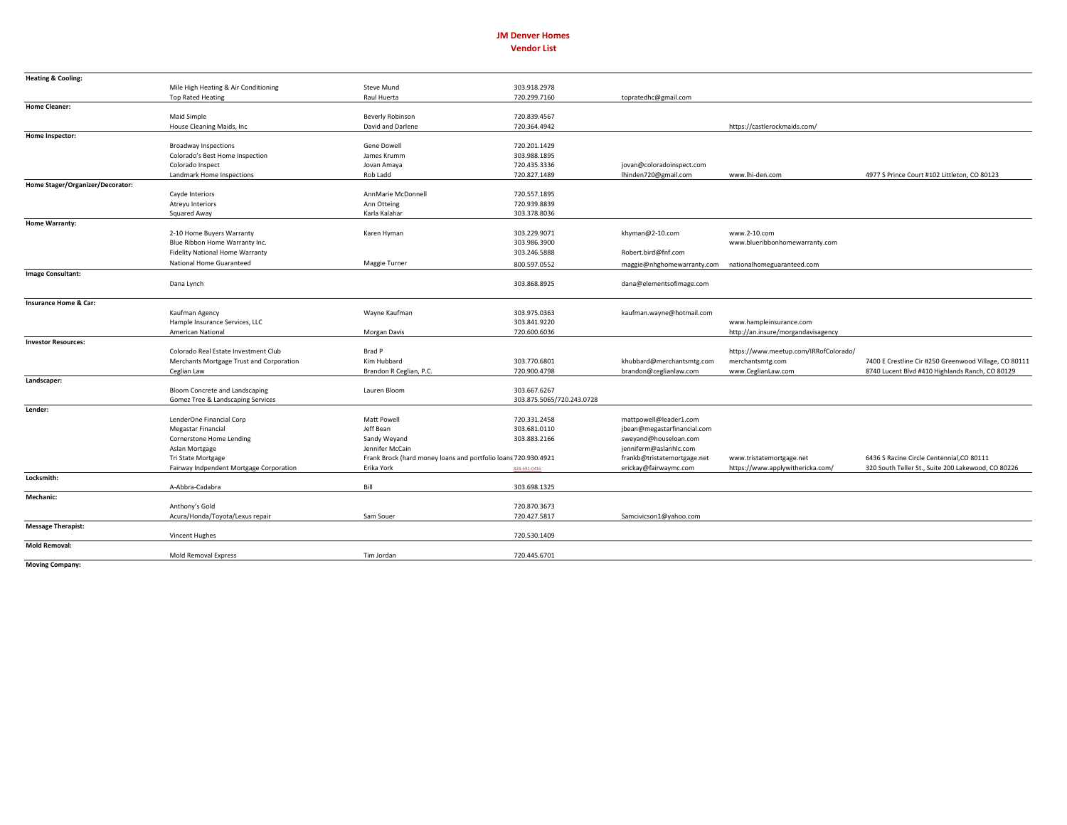## **JM** Denver Homes **Vendor List**

| <b>Heating &amp; Cooling:</b>    |                                                               |                                                                              |                           |                                                      |                                                              |                                                       |
|----------------------------------|---------------------------------------------------------------|------------------------------------------------------------------------------|---------------------------|------------------------------------------------------|--------------------------------------------------------------|-------------------------------------------------------|
|                                  | Mile High Heating & Air Conditioning                          | Steve Mund                                                                   | 303.918.2978              |                                                      |                                                              |                                                       |
|                                  | <b>Top Rated Heating</b>                                      | Raul Huerta                                                                  | 720.299.7160              | topratedhc@gmail.com                                 |                                                              |                                                       |
| <b>Home Cleaner:</b>             |                                                               |                                                                              |                           |                                                      |                                                              |                                                       |
|                                  | Maid Simple                                                   | Beverly Robinson                                                             | 720.839.4567              |                                                      |                                                              |                                                       |
|                                  | House Cleaning Maids, Inc.                                    | David and Darlene                                                            | 720.364.4942              |                                                      | https://castlerockmaids.com/                                 |                                                       |
| Home Inspector:                  |                                                               |                                                                              |                           |                                                      |                                                              |                                                       |
|                                  | <b>Broadway Inspections</b>                                   | Gene Dowell                                                                  | 720.201.1429              |                                                      |                                                              |                                                       |
|                                  | Colorado's Best Home Inspection                               | James Krumm                                                                  | 303.988.1895              |                                                      |                                                              |                                                       |
|                                  | Colorado Inspect                                              | Jovan Amaya                                                                  | 720.435.3336              | jovan@coloradoinspect.com                            |                                                              |                                                       |
|                                  | Landmark Home Inspections                                     | Rob Ladd                                                                     | 720.827.1489              | lhinden720@gmail.com                                 | www.lhi-den.com                                              | 4977 S Prince Court #102 Littleton, CO 80123          |
| Home Stager/Organizer/Decorator: |                                                               |                                                                              |                           |                                                      |                                                              |                                                       |
|                                  | Cayde Interiors                                               | AnnMarie McDonnell                                                           | 720.557.1895              |                                                      |                                                              |                                                       |
|                                  | Atreyu Interiors                                              | Ann Otteing                                                                  | 720.939.8839              |                                                      |                                                              |                                                       |
|                                  | Squared Away                                                  | Karla Kalahar                                                                | 303.378.8036              |                                                      |                                                              |                                                       |
| Home Warranty:                   |                                                               |                                                                              |                           |                                                      |                                                              |                                                       |
|                                  | 2-10 Home Buyers Warranty                                     | Karen Hyman                                                                  | 303.229.9071              | khyman@2-10.com                                      | www.2-10.com                                                 |                                                       |
|                                  | Blue Ribbon Home Warranty Inc.                                |                                                                              | 303.986.3900              |                                                      | www.blueribbonhomewarranty.com                               |                                                       |
|                                  | <b>Fidelity National Home Warranty</b>                        |                                                                              | 303.246.5888              | Robert.bird@fnf.com                                  |                                                              |                                                       |
|                                  | National Home Guaranteed                                      | Maggie Turner                                                                | 800.597.0552              | maggie@nhghomewarranty.com                           | nationalhomeguaranteed.com                                   |                                                       |
| <b>Image Consultant:</b>         |                                                               |                                                                              |                           |                                                      |                                                              |                                                       |
|                                  | Dana Lynch                                                    |                                                                              | 303.868.8925              | dana@elementsofimage.com                             |                                                              |                                                       |
| Insurance Home & Car:            |                                                               |                                                                              |                           |                                                      |                                                              |                                                       |
|                                  | Kaufman Agency                                                | Wayne Kaufman                                                                | 303.975.0363              | kaufman.wayne@hotmail.com                            |                                                              |                                                       |
|                                  | Hample Insurance Services, LLC                                |                                                                              | 303.841.9220              |                                                      | www.hampleinsurance.com                                      |                                                       |
|                                  | American National                                             | Morgan Davis                                                                 | 720.600.6036              |                                                      | http://an.insure/morgandavisagency                           |                                                       |
| <b>Investor Resources:</b>       |                                                               |                                                                              |                           |                                                      |                                                              |                                                       |
|                                  | Colorado Real Estate Investment Club                          | Brad P                                                                       |                           |                                                      | https://www.meetup.com/IRRofColorado/                        |                                                       |
|                                  | Merchants Mortgage Trust and Corporation                      | Kim Hubbard                                                                  | 303.770.6801              | khubbard@merchantsmtg.com                            | merchantsmtg.com                                             | 7400 E Crestline Cir #250 Greenwood Village, CO 80111 |
|                                  | Ceglian Law                                                   | Brandon R Ceglian, P.C.                                                      | 720.900.4798              | brandon@ceglianlaw.com                               | www.CeglianLaw.com                                           | 8740 Lucent Blvd #410 Highlands Ranch, CO 80129       |
| Landscaper:                      |                                                               |                                                                              |                           |                                                      |                                                              |                                                       |
|                                  | Bloom Concrete and Landscaping                                | Lauren Bloom                                                                 | 303.667.6267              |                                                      |                                                              |                                                       |
|                                  | Gomez Tree & Landscaping Services                             |                                                                              | 303.875.5065/720.243.0728 |                                                      |                                                              |                                                       |
| Lender:                          |                                                               |                                                                              |                           |                                                      |                                                              |                                                       |
|                                  | LenderOne Financial Corp                                      | Matt Powell                                                                  | 720.331.2458              | mattpowell@leader1.com                               |                                                              |                                                       |
|                                  | <b>Megastar Financial</b>                                     | Jeff Bean                                                                    | 303.681.0110              | jbean@megastarfinancial.com                          |                                                              |                                                       |
|                                  | Cornerstone Home Lending                                      | Sandy Weyand                                                                 | 303.883.2166              | sweyand@houseloan.com                                |                                                              |                                                       |
|                                  | Aslan Mortgage                                                | Jennifer McCain                                                              |                           | jenniferm@aslanhlc.com                               |                                                              |                                                       |
|                                  |                                                               |                                                                              |                           |                                                      |                                                              | 6436 S Racine Circle Centennial, CO 80111             |
|                                  | Tri State Mortgage<br>Fairway Indpendent Mortgage Corporation | Frank Brock (hard money loans and portfolio loans 720.930.4921<br>Erika York |                           | frankb@tristatemortgage.net<br>erickay@fairwaymc.com | www.tristatemortgage.net<br>https://www.applywithericka.com/ | 320 South Teller St., Suite 200 Lakewood, CO 80226    |
| Locksmith:                       |                                                               |                                                                              | 828-691-0416              |                                                      |                                                              |                                                       |
|                                  |                                                               | Bill                                                                         |                           |                                                      |                                                              |                                                       |
|                                  | A-Abbra-Cadabra                                               |                                                                              | 303.698.1325              |                                                      |                                                              |                                                       |
| Mechanic:                        |                                                               |                                                                              |                           |                                                      |                                                              |                                                       |
|                                  | Anthony's Gold                                                |                                                                              | 720.870.3673              |                                                      |                                                              |                                                       |
|                                  | Acura/Honda/Toyota/Lexus repair                               | Sam Souer                                                                    | 720.427.5817              | Samcivicson1@yahoo.com                               |                                                              |                                                       |
| <b>Message Therapist:</b>        |                                                               |                                                                              |                           |                                                      |                                                              |                                                       |
|                                  | Vincent Hughes                                                |                                                                              | 720.530.1409              |                                                      |                                                              |                                                       |
| <b>Mold Removal:</b>             |                                                               |                                                                              | 720.445.6701              |                                                      |                                                              |                                                       |
| Moving Company:                  | <b>Mold Removal Express</b>                                   | Tim Jordan                                                                   |                           |                                                      |                                                              |                                                       |
|                                  |                                                               |                                                                              |                           |                                                      |                                                              |                                                       |

**Moving Company:**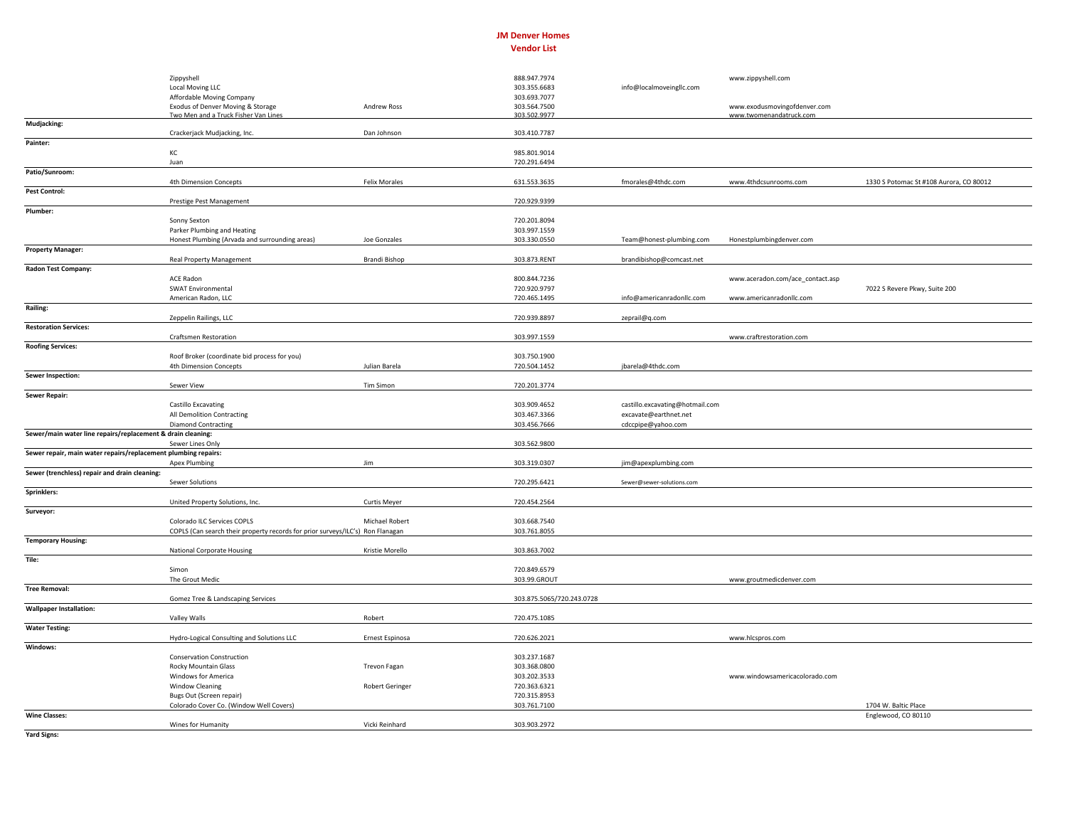## **JM** Denver Homes **Vendor List**

|                                                                | Zippyshell                                                                     |                        | 888.947.7974              |                                 | www.zippyshell.com               |                                         |
|----------------------------------------------------------------|--------------------------------------------------------------------------------|------------------------|---------------------------|---------------------------------|----------------------------------|-----------------------------------------|
|                                                                | Local Moving LLC                                                               |                        | 303.355.6683              | info@localmoveingllc.com        |                                  |                                         |
|                                                                | Affordable Moving Company                                                      |                        | 303.693.7077              |                                 |                                  |                                         |
|                                                                | Exodus of Denver Moving & Storage                                              | <b>Andrew Ross</b>     | 303.564.7500              |                                 | www.exodusmovingofdenver.com     |                                         |
|                                                                | Two Men and a Truck Fisher Van Lines                                           |                        | 303.502.9977              |                                 | www.twomenandatruck.com          |                                         |
| Mudjacking:                                                    |                                                                                |                        |                           |                                 |                                  |                                         |
|                                                                | Crackerjack Mudjacking, Inc.                                                   | Dan Johnson            | 303.410.7787              |                                 |                                  |                                         |
| Painter:                                                       |                                                                                |                        |                           |                                 |                                  |                                         |
|                                                                | KC                                                                             |                        | 985.801.9014              |                                 |                                  |                                         |
|                                                                | Juan                                                                           |                        | 720.291.6494              |                                 |                                  |                                         |
| Patio/Sunroom:                                                 |                                                                                |                        |                           |                                 |                                  |                                         |
|                                                                | 4th Dimension Concepts                                                         | <b>Felix Morales</b>   | 631.553.3635              | fmorales@4thdc.com              | www.4thdcsunrooms.com            | 1330 S Potomac St #108 Aurora, CO 80012 |
| <b>Pest Control:</b>                                           |                                                                                |                        |                           |                                 |                                  |                                         |
|                                                                | Prestige Pest Management                                                       |                        | 720.929.9399              |                                 |                                  |                                         |
| Plumber:                                                       |                                                                                |                        |                           |                                 |                                  |                                         |
|                                                                | Sonny Sexton                                                                   |                        | 720.201.8094              |                                 |                                  |                                         |
|                                                                | Parker Plumbing and Heating                                                    |                        | 303.997.1559              |                                 |                                  |                                         |
|                                                                | Honest Plumbing (Arvada and surrounding areas)                                 | Joe Gonzales           | 303.330.0550              | Team@honest-plumbing.com        | Honestplumbingdenver.com         |                                         |
| <b>Property Manager:</b>                                       |                                                                                |                        |                           |                                 |                                  |                                         |
|                                                                | <b>Real Property Management</b>                                                | <b>Brandi Bishop</b>   | 303.873.RENT              | brandibishop@comcast.net        |                                  |                                         |
| Radon Test Company:                                            |                                                                                |                        |                           |                                 |                                  |                                         |
|                                                                | <b>ACE Radon</b>                                                               |                        | 800.844.7236              |                                 |                                  |                                         |
|                                                                |                                                                                |                        |                           |                                 | www.aceradon.com/ace_contact.asp |                                         |
|                                                                | <b>SWAT Environmental</b>                                                      |                        | 720.920.9797              |                                 |                                  | 7022 S Revere Pkwy, Suite 200           |
|                                                                | American Radon, LLC                                                            |                        | 720.465.1495              | info@americanradonllc.com       | www.americanradonllc.com         |                                         |
| Railing:                                                       |                                                                                |                        |                           |                                 |                                  |                                         |
|                                                                | Zeppelin Railings, LLC                                                         |                        | 720.939.8897              | zeprail@q.com                   |                                  |                                         |
| <b>Restoration Services:</b>                                   |                                                                                |                        |                           |                                 |                                  |                                         |
|                                                                | <b>Craftsmen Restoration</b>                                                   |                        | 303.997.1559              |                                 | www.craftrestoration.com         |                                         |
| <b>Roofing Services:</b>                                       |                                                                                |                        |                           |                                 |                                  |                                         |
|                                                                | Roof Broker (coordinate bid process for you)                                   |                        | 303.750.1900              |                                 |                                  |                                         |
|                                                                | 4th Dimension Concepts                                                         | Julian Barela          | 720.504.1452              | jbarela@4thdc.com               |                                  |                                         |
| <b>Sewer Inspection:</b>                                       |                                                                                |                        |                           |                                 |                                  |                                         |
|                                                                | Sewer View                                                                     | Tim Simon              | 720.201.3774              |                                 |                                  |                                         |
| <b>Sewer Repair:</b>                                           |                                                                                |                        |                           |                                 |                                  |                                         |
|                                                                | Castillo Excavating                                                            |                        | 303.909.4652              | castillo.excavating@hotmail.com |                                  |                                         |
|                                                                | All Demolition Contracting                                                     |                        | 303.467.3366              | excavate@earthnet.net           |                                  |                                         |
|                                                                | <b>Diamond Contracting</b>                                                     |                        | 303.456.7666              | cdccpipe@yahoo.com              |                                  |                                         |
| Sewer/main water line repairs/replacement & drain cleaning:    |                                                                                |                        |                           |                                 |                                  |                                         |
|                                                                | Sewer Lines Only                                                               |                        | 303.562.9800              |                                 |                                  |                                         |
| Sewer repair, main water repairs/replacement plumbing repairs: |                                                                                |                        |                           |                                 |                                  |                                         |
|                                                                | <b>Apex Plumbing</b>                                                           | Jim                    | 303.319.0307              |                                 |                                  |                                         |
|                                                                |                                                                                |                        |                           | jim@apexplumbing.com            |                                  |                                         |
| Sewer (trenchless) repair and drain cleaning:                  |                                                                                |                        |                           |                                 |                                  |                                         |
|                                                                | Sewer Solutions                                                                |                        | 720.295.6421              | Sewer@sewer-solutions.com       |                                  |                                         |
| Sprinklers:                                                    |                                                                                |                        |                           |                                 |                                  |                                         |
|                                                                | United Property Solutions, Inc.                                                | <b>Curtis Meyer</b>    | 720.454.2564              |                                 |                                  |                                         |
| Surveyor:                                                      |                                                                                |                        |                           |                                 |                                  |                                         |
|                                                                | Colorado ILC Services COPLS                                                    | Michael Robert         | 303.668.7540              |                                 |                                  |                                         |
|                                                                | COPLS (Can search their property records for prior surveys/ILC's) Ron Flanagan |                        | 303.761.8055              |                                 |                                  |                                         |
| <b>Temporary Housing:</b>                                      |                                                                                |                        |                           |                                 |                                  |                                         |
|                                                                | <b>National Corporate Housing</b>                                              | Kristie Morello        | 303.863.7002              |                                 |                                  |                                         |
| Tile:                                                          |                                                                                |                        |                           |                                 |                                  |                                         |
|                                                                | Simon                                                                          |                        | 720.849.6579              |                                 |                                  |                                         |
|                                                                | The Grout Medic                                                                |                        | 303.99.GROUT              |                                 | www.groutmedicdenver.com         |                                         |
| <b>Tree Removal:</b>                                           |                                                                                |                        |                           |                                 |                                  |                                         |
|                                                                | Gomez Tree & Landscaping Services                                              |                        | 303.875.5065/720.243.0728 |                                 |                                  |                                         |
| <b>Wallpaper Installation:</b>                                 |                                                                                |                        |                           |                                 |                                  |                                         |
|                                                                | Valley Walls                                                                   | Robert                 | 720.475.1085              |                                 |                                  |                                         |
| <b>Water Testing:</b>                                          |                                                                                |                        |                           |                                 |                                  |                                         |
|                                                                | Hydro-Logical Consulting and Solutions LLC                                     | Ernest Espinosa        | 720.626.2021              |                                 | www.hlcspros.com                 |                                         |
| Windows:                                                       |                                                                                |                        |                           |                                 |                                  |                                         |
|                                                                | <b>Conservation Construction</b>                                               |                        | 303.237.1687              |                                 |                                  |                                         |
|                                                                | Rocky Mountain Glass                                                           | Trevon Fagan           | 303.368.0800              |                                 |                                  |                                         |
|                                                                | Windows for America                                                            |                        | 303.202.3533              |                                 | www.windowsamericacolorado.com   |                                         |
|                                                                | <b>Window Cleaning</b>                                                         | <b>Robert Geringer</b> | 720.363.6321              |                                 |                                  |                                         |
|                                                                |                                                                                |                        |                           |                                 |                                  |                                         |
|                                                                | Bugs Out (Screen repair)                                                       |                        | 720.315.8953              |                                 |                                  | 1704 W. Baltic Place                    |
|                                                                | Colorado Cover Co. (Window Well Covers)                                        |                        | 303.761.7100              |                                 |                                  |                                         |
| <b>Wine Classes:</b>                                           |                                                                                |                        |                           |                                 |                                  | Englewood, CO 80110                     |
|                                                                | Wines for Humanity                                                             | Vicki Reinhard         | 303.903.2972              |                                 |                                  |                                         |

**Yard Signs:**